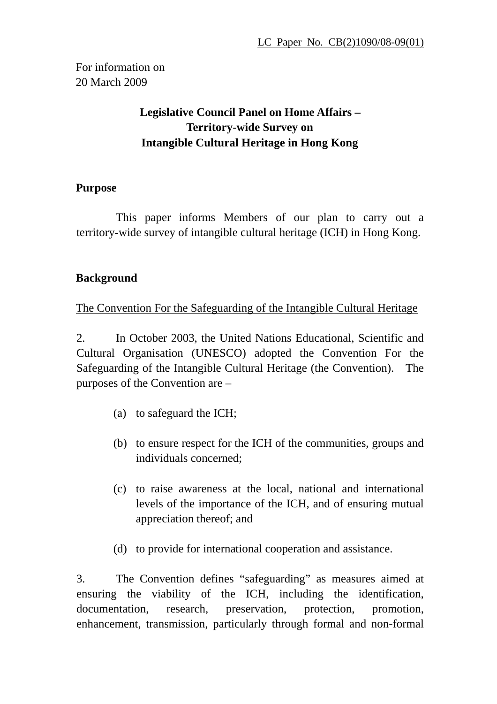For information on 20 March 2009

# **Legislative Council Panel on Home Affairs – Territory-wide Survey on Intangible Cultural Heritage in Hong Kong**

### **Purpose**

This paper informs Members of our plan to carry out a territory-wide survey of intangible cultural heritage (ICH) in Hong Kong.

## **Background**

The Convention For the Safeguarding of the Intangible Cultural Heritage

2. In October 2003, the United Nations Educational, Scientific and Cultural Organisation (UNESCO) adopted the Convention For the Safeguarding of the Intangible Cultural Heritage (the Convention). The purposes of the Convention are –

- (a) to safeguard the ICH;
- (b) to ensure respect for the ICH of the communities, groups and individuals concerned;
- (c) to raise awareness at the local, national and international levels of the importance of the ICH, and of ensuring mutual appreciation thereof; and
- (d) to provide for international cooperation and assistance.

3. The Convention defines "safeguarding" as measures aimed at ensuring the viability of the ICH, including the identification, documentation, research, preservation, protection, promotion, enhancement, transmission, particularly through formal and non-formal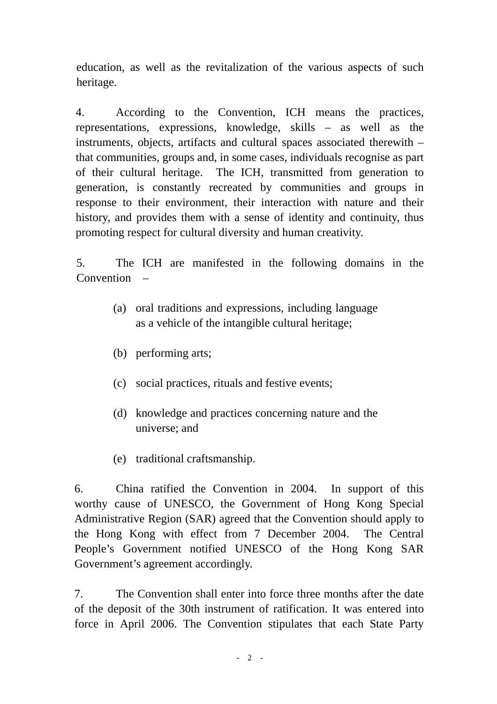education, as well as the revitalization of the various aspects of such heritage.

4. According to the Convention, ICH means the practices, representations, expressions, knowledge, skills – as well as the instruments, objects, artifacts and cultural spaces associated therewith – that communities, groups and, in some cases, individuals recognise as part of their cultural heritage. The ICH, transmitted from generation to generation, is constantly recreated by communities and groups in response to their environment, their interaction with nature and their history, and provides them with a sense of identity and continuity, thus promoting respect for cultural diversity and human creativity.

5. The ICH are manifested in the following domains in the Convention –

- (a) oral traditions and expressions, including language as a vehicle of the intangible cultural heritage;
- (b) performing arts;
- (c) social practices, rituals and festive events;
- (d) knowledge and practices concerning nature and the universe; and
- (e) traditional craftsmanship.

6. China ratified the Convention in 2004. In support of this worthy cause of UNESCO, the Government of Hong Kong Special Administrative Region (SAR) agreed that the Convention should apply to the Hong Kong with effect from 7 December 2004. The Central People's Government notified UNESCO of the Hong Kong SAR Government's agreement accordingly.

7. The Convention shall enter into force three months after the date of the deposit of the 30th instrument of ratification. It was entered into force in April 2006. The Convention stipulates that each State Party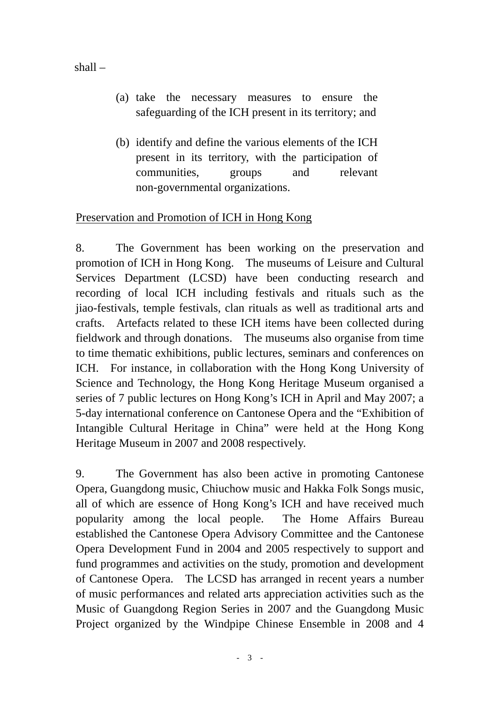shall –

- (a) take the necessary measures to ensure the safeguarding of the ICH present in its territory; and
- (b) identify and define the various elements of the ICH present in its territory, with the participation of communities, groups and relevant non-governmental organizations.

## Preservation and Promotion of ICH in Hong Kong

8. The Government has been working on the preservation and promotion of ICH in Hong Kong. The museums of Leisure and Cultural Services Department (LCSD) have been conducting research and recording of local ICH including festivals and rituals such as the jiao-festivals, temple festivals, clan rituals as well as traditional arts and crafts. Artefacts related to these ICH items have been collected during fieldwork and through donations. The museums also organise from time to time thematic exhibitions, public lectures, seminars and conferences on ICH. For instance, in collaboration with the Hong Kong University of Science and Technology, the Hong Kong Heritage Museum organised a series of 7 public lectures on Hong Kong's ICH in April and May 2007; a 5-day international conference on Cantonese Opera and the "Exhibition of Intangible Cultural Heritage in China" were held at the Hong Kong Heritage Museum in 2007 and 2008 respectively.

9. The Government has also been active in promoting Cantonese Opera, Guangdong music, Chiuchow music and Hakka Folk Songs music, all of which are essence of Hong Kong's ICH and have received much popularity among the local people. The Home Affairs Bureau established the Cantonese Opera Advisory Committee and the Cantonese Opera Development Fund in 2004 and 2005 respectively to support and fund programmes and activities on the study, promotion and development of Cantonese Opera. The LCSD has arranged in recent years a number of music performances and related arts appreciation activities such as the Music of Guangdong Region Series in 2007 and the Guangdong Music Project organized by the Windpipe Chinese Ensemble in 2008 and 4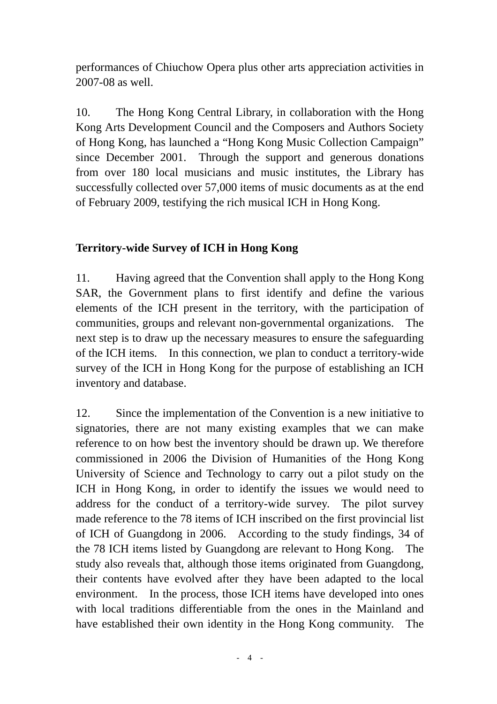performances of Chiuchow Opera plus other arts appreciation activities in 2007-08 as well.

10. The Hong Kong Central Library, in collaboration with the Hong Kong Arts Development Council and the Composers and Authors Society of Hong Kong, has launched a "Hong Kong Music Collection Campaign" since December 2001. Through the support and generous donations from over 180 local musicians and music institutes, the Library has successfully collected over 57,000 items of music documents as at the end of February 2009, testifying the rich musical ICH in Hong Kong.

## **Territory-wide Survey of ICH in Hong Kong**

11. Having agreed that the Convention shall apply to the Hong Kong SAR, the Government plans to first identify and define the various elements of the ICH present in the territory, with the participation of communities, groups and relevant non-governmental organizations. The next step is to draw up the necessary measures to ensure the safeguarding of the ICH items. In this connection, we plan to conduct a territory-wide survey of the ICH in Hong Kong for the purpose of establishing an ICH inventory and database.

12. Since the implementation of the Convention is a new initiative to signatories, there are not many existing examples that we can make reference to on how best the inventory should be drawn up. We therefore commissioned in 2006 the Division of Humanities of the Hong Kong University of Science and Technology to carry out a pilot study on the ICH in Hong Kong, in order to identify the issues we would need to address for the conduct of a territory-wide survey. The pilot survey made reference to the 78 items of ICH inscribed on the first provincial list of ICH of Guangdong in 2006. According to the study findings, 34 of the 78 ICH items listed by Guangdong are relevant to Hong Kong. The study also reveals that, although those items originated from Guangdong, their contents have evolved after they have been adapted to the local environment. In the process, those ICH items have developed into ones with local traditions differentiable from the ones in the Mainland and have established their own identity in the Hong Kong community. The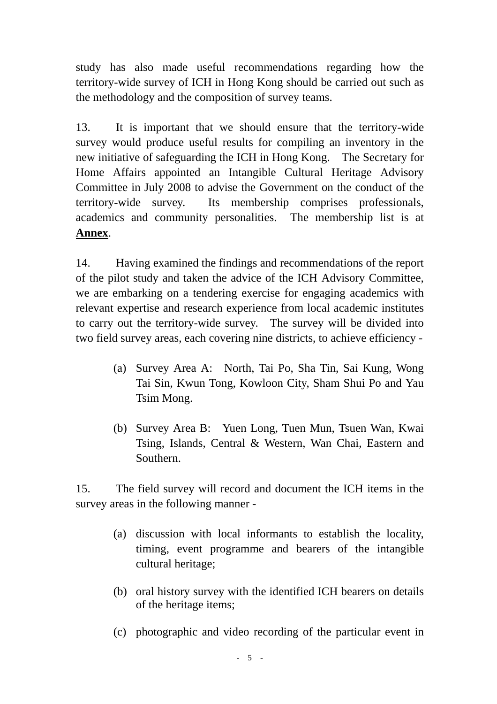study has also made useful recommendations regarding how the territory-wide survey of ICH in Hong Kong should be carried out such as the methodology and the composition of survey teams.

13. It is important that we should ensure that the territory-wide survey would produce useful results for compiling an inventory in the new initiative of safeguarding the ICH in Hong Kong. The Secretary for Home Affairs appointed an Intangible Cultural Heritage Advisory Committee in July 2008 to advise the Government on the conduct of the territory-wide survey. Its membership comprises professionals, academics and community personalities. The membership list is at **Annex**.

14. Having examined the findings and recommendations of the report of the pilot study and taken the advice of the ICH Advisory Committee, we are embarking on a tendering exercise for engaging academics with relevant expertise and research experience from local academic institutes to carry out the territory-wide survey. The survey will be divided into two field survey areas, each covering nine districts, to achieve efficiency -

- (a) Survey Area A: North, Tai Po, Sha Tin, Sai Kung, Wong Tai Sin, Kwun Tong, Kowloon City, Sham Shui Po and Yau Tsim Mong.
- (b) Survey Area B: Yuen Long, Tuen Mun, Tsuen Wan, Kwai Tsing, Islands, Central & Western, Wan Chai, Eastern and Southern.

15. The field survey will record and document the ICH items in the survey areas in the following manner -

- (a) discussion with local informants to establish the locality, timing, event programme and bearers of the intangible cultural heritage;
- (b) oral history survey with the identified ICH bearers on details of the heritage items;
- (c) photographic and video recording of the particular event in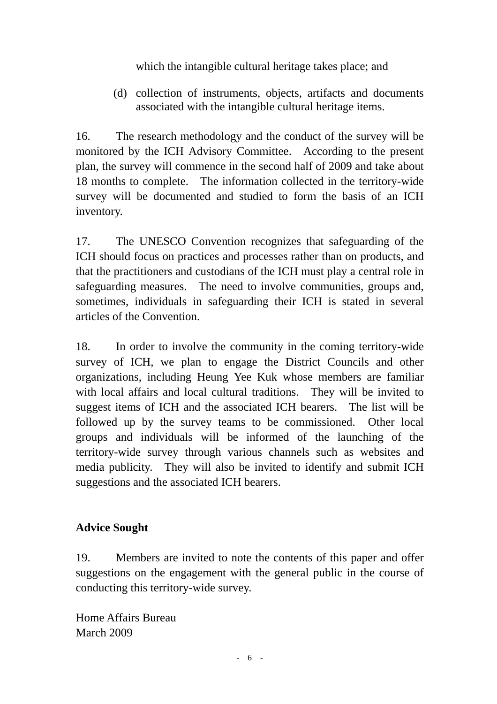which the intangible cultural heritage takes place; and

(d) collection of instruments, objects, artifacts and documents associated with the intangible cultural heritage items.

16. The research methodology and the conduct of the survey will be monitored by the ICH Advisory Committee. According to the present plan, the survey will commence in the second half of 2009 and take about 18 months to complete. The information collected in the territory-wide survey will be documented and studied to form the basis of an ICH inventory.

17. The UNESCO Convention recognizes that safeguarding of the ICH should focus on practices and processes rather than on products, and that the practitioners and custodians of the ICH must play a central role in safeguarding measures. The need to involve communities, groups and, sometimes, individuals in safeguarding their ICH is stated in several articles of the Convention.

18. In order to involve the community in the coming territory-wide survey of ICH, we plan to engage the District Councils and other organizations, including Heung Yee Kuk whose members are familiar with local affairs and local cultural traditions. They will be invited to suggest items of ICH and the associated ICH bearers. The list will be followed up by the survey teams to be commissioned. Other local groups and individuals will be informed of the launching of the territory-wide survey through various channels such as websites and media publicity. They will also be invited to identify and submit ICH suggestions and the associated ICH bearers.

# **Advice Sought**

19. Members are invited to note the contents of this paper and offer suggestions on the engagement with the general public in the course of conducting this territory-wide survey.

Home Affairs Bureau March 2009